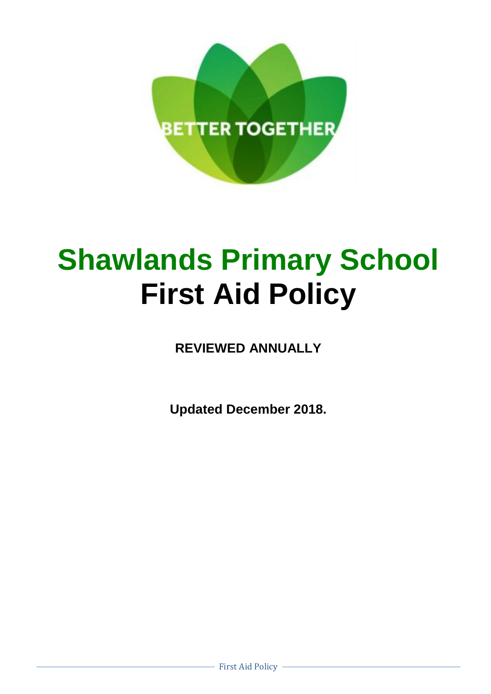

# **Shawlands Primary School First Aid Policy**

**REVIEWED ANNUALLY**

**Updated December 2018.**

First Aid Policy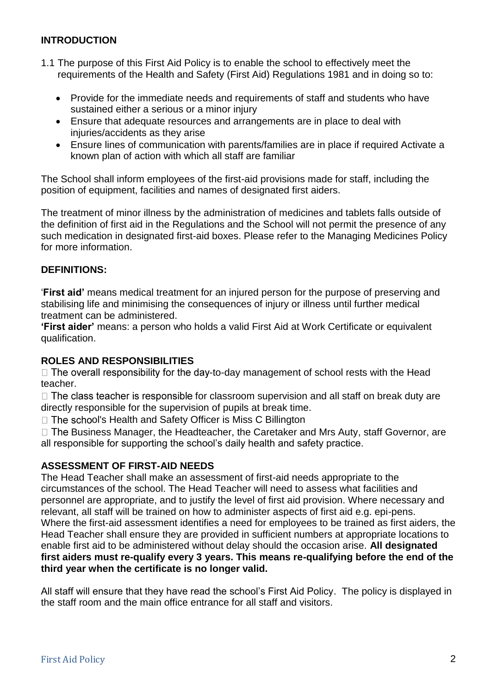## **INTRODUCTION**

- 1.1 The purpose of this First Aid Policy is to enable the school to effectively meet the requirements of the Health and Safety (First Aid) Regulations 1981 and in doing so to:
	- Provide for the immediate needs and requirements of staff and students who have sustained either a serious or a minor injury
	- Ensure that adequate resources and arrangements are in place to deal with injuries/accidents as they arise
	- Ensure lines of communication with parents/families are in place if required Activate a known plan of action with which all staff are familiar

The School shall inform employees of the first-aid provisions made for staff, including the position of equipment, facilities and names of designated first aiders.

The treatment of minor illness by the administration of medicines and tablets falls outside of the definition of first aid in the Regulations and the School will not permit the presence of any such medication in designated first-aid boxes. Please refer to the Managing Medicines Policy for more information.

#### **DEFINITIONS:**

'**First aid'** means medical treatment for an injured person for the purpose of preserving and stabilising life and minimising the consequences of injury or illness until further medical treatment can be administered.

**'First aider'** means: a person who holds a valid First Aid at Work Certificate or equivalent qualification.

# **ROLES AND RESPONSIBILITIES**

 $\Box$  The overall responsibility for the day-to-day management of school rests with the Head teacher.

 $\Box$  The class teacher is responsible for classroom supervision and all staff on break duty are directly responsible for the supervision of pupils at break time.

 $\Box$  The school's Health and Safety Officer is Miss C Billington

 $\Box$  The Business Manager, the Headteacher, the Caretaker and Mrs Auty, staff Governor, are all responsible for supporting the school's daily health and safety practice.

#### **ASSESSMENT OF FIRST-AID NEEDS**

The Head Teacher shall make an assessment of first-aid needs appropriate to the circumstances of the school. The Head Teacher will need to assess what facilities and personnel are appropriate, and to justify the level of first aid provision. Where necessary and relevant, all staff will be trained on how to administer aspects of first aid e.g. epi-pens. Where the first-aid assessment identifies a need for employees to be trained as first aiders, the Head Teacher shall ensure they are provided in sufficient numbers at appropriate locations to enable first aid to be administered without delay should the occasion arise. **All designated first aiders must re-qualify every 3 years. This means re-qualifying before the end of the third year when the certificate is no longer valid.** 

All staff will ensure that they have read the school's First Aid Policy. The policy is displayed in the staff room and the main office entrance for all staff and visitors.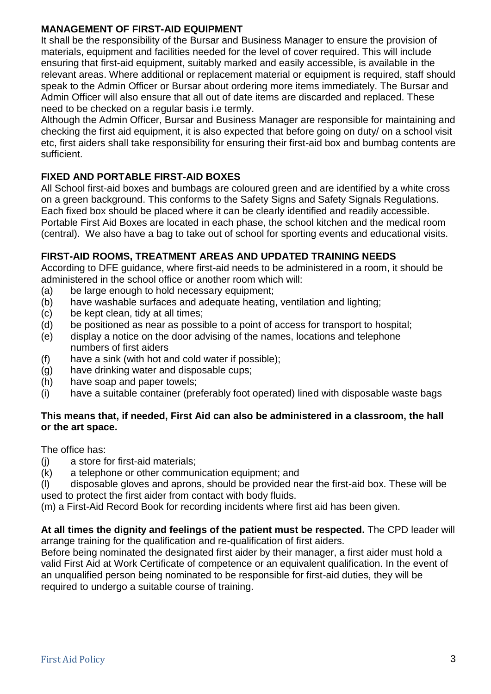# **MANAGEMENT OF FIRST-AID EQUIPMENT**

It shall be the responsibility of the Bursar and Business Manager to ensure the provision of materials, equipment and facilities needed for the level of cover required. This will include ensuring that first-aid equipment, suitably marked and easily accessible, is available in the relevant areas. Where additional or replacement material or equipment is required, staff should speak to the Admin Officer or Bursar about ordering more items immediately. The Bursar and Admin Officer will also ensure that all out of date items are discarded and replaced. These need to be checked on a regular basis i.e termly.

Although the Admin Officer, Bursar and Business Manager are responsible for maintaining and checking the first aid equipment, it is also expected that before going on duty/ on a school visit etc, first aiders shall take responsibility for ensuring their first-aid box and bumbag contents are sufficient.

# **FIXED AND PORTABLE FIRST-AID BOXES**

All School first-aid boxes and bumbags are coloured green and are identified by a white cross on a green background. This conforms to the Safety Signs and Safety Signals Regulations. Each fixed box should be placed where it can be clearly identified and readily accessible. Portable First Aid Boxes are located in each phase, the school kitchen and the medical room (central). We also have a bag to take out of school for sporting events and educational visits.

# **FIRST-AID ROOMS, TREATMENT AREAS AND UPDATED TRAINING NEEDS**

According to DFE guidance, where first-aid needs to be administered in a room, it should be administered in the school office or another room which will:

- (a) be large enough to hold necessary equipment;
- (b) have washable surfaces and adequate heating, ventilation and lighting;
- (c) be kept clean, tidy at all times;
- (d) be positioned as near as possible to a point of access for transport to hospital;
- (e) display a notice on the door advising of the names, locations and telephone numbers of first aiders
- (f) have a sink (with hot and cold water if possible);
- (g) have drinking water and disposable cups;
- (h) have soap and paper towels;
- (i) have a suitable container (preferably foot operated) lined with disposable waste bags

# **This means that, if needed, First Aid can also be administered in a classroom, the hall or the art space.**

The office has:

- (j) a store for first-aid materials;
- (k) a telephone or other communication equipment; and
- (l) disposable gloves and aprons, should be provided near the first-aid box. These will be used to protect the first aider from contact with body fluids.

(m) a First-Aid Record Book for recording incidents where first aid has been given.

#### **At all times the dignity and feelings of the patient must be respected.** The CPD leader will arrange training for the qualification and re-qualification of first aiders.

Before being nominated the designated first aider by their manager, a first aider must hold a valid First Aid at Work Certificate of competence or an equivalent qualification. In the event of an unqualified person being nominated to be responsible for first-aid duties, they will be required to undergo a suitable course of training.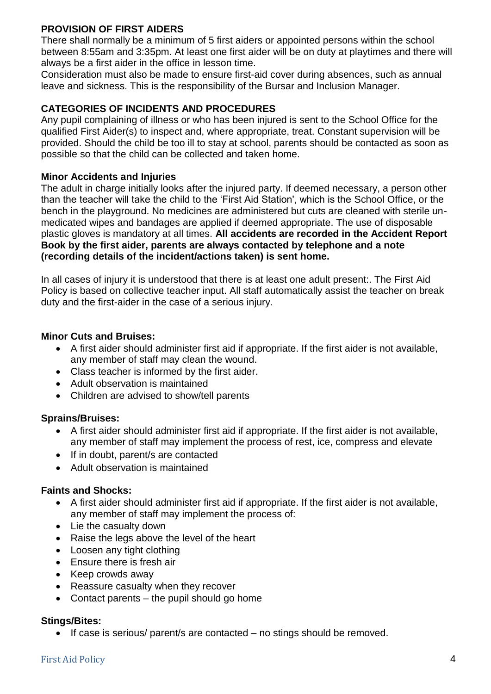# **PROVISION OF FIRST AIDERS**

There shall normally be a minimum of 5 first aiders or appointed persons within the school between 8:55am and 3:35pm. At least one first aider will be on duty at playtimes and there will always be a first aider in the office in lesson time.

Consideration must also be made to ensure first-aid cover during absences, such as annual leave and sickness. This is the responsibility of the Bursar and Inclusion Manager.

# **CATEGORIES OF INCIDENTS AND PROCEDURES**

Any pupil complaining of illness or who has been injured is sent to the School Office for the qualified First Aider(s) to inspect and, where appropriate, treat. Constant supervision will be provided. Should the child be too ill to stay at school, parents should be contacted as soon as possible so that the child can be collected and taken home.

#### **Minor Accidents and Injuries**

The adult in charge initially looks after the injured party. If deemed necessary, a person other than the teacher will take the child to the 'First Aid Station', which is the School Office, or the bench in the playground. No medicines are administered but cuts are cleaned with sterile unmedicated wipes and bandages are applied if deemed appropriate. The use of disposable plastic gloves is mandatory at all times. **All accidents are recorded in the Accident Report Book by the first aider, parents are always contacted by telephone and a note (recording details of the incident/actions taken) is sent home.** 

In all cases of injury it is understood that there is at least one adult present:. The First Aid Policy is based on collective teacher input. All staff automatically assist the teacher on break duty and the first-aider in the case of a serious injury.

#### **Minor Cuts and Bruises:**

- A first aider should administer first aid if appropriate. If the first aider is not available, any member of staff may clean the wound.
- Class teacher is informed by the first aider.
- Adult observation is maintained
- Children are advised to show/tell parents

# **Sprains/Bruises:**

- A first aider should administer first aid if appropriate. If the first aider is not available, any member of staff may implement the process of rest, ice, compress and elevate
- If in doubt, parent/s are contacted
- Adult observation is maintained

# **Faints and Shocks:**

- A first aider should administer first aid if appropriate. If the first aider is not available, any member of staff may implement the process of:
- Lie the casualty down
- Raise the legs above the level of the heart
- Loosen any tight clothing
- Ensure there is fresh air
- Keep crowds away
- Reassure casualty when they recover
- Contact parents the pupil should go home

#### **Stings/Bites:**

If case is serious/ parent/s are contacted – no stings should be removed.